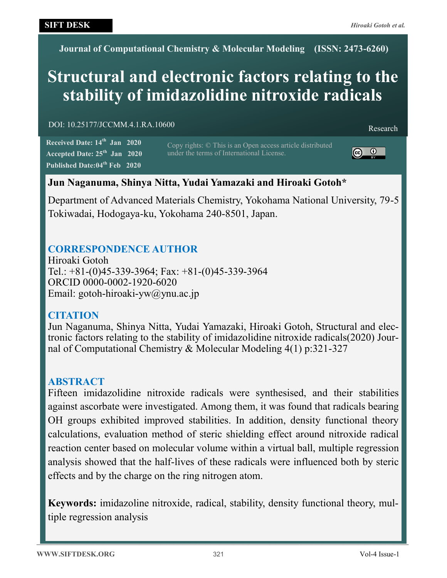**Journal of Computational Chemistry & Molecular Modeling (ISSN: 2473-6260)**

# **Structural and electronic factors relating to the stability of imidazolidine nitroxide radicals**

DOI: 10.25177/JCCMM.4.1.RA.10600 Research

**Received Date: 14th Jan 2020 Accepted Date: 25th Jan 2020 Published Date:04th Feb 2020**

Copy rights: © This is an Open access article distributed under the terms of International License.



# **Jun Naganuma, Shinya Nitta, Yudai Yamazaki and Hiroaki Gotoh\***

Department of Advanced Materials Chemistry, Yokohama National University, 79-5 Tokiwadai, Hodogaya-ku, Yokohama 240-8501, Japan.

# **CORRESPONDENCE AUTHOR**

Hiroaki Gotoh Tel.: +81-(0)45-339-3964; Fax: +81-(0)45-339-3964 ORCID 0000-0002-1920-6020 Email: gotoh-hiroaki-yw@ynu.ac.jp

# **CITATION**

Jun Naganuma, Shinya Nitta, Yudai Yamazaki, Hiroaki Gotoh, Structural and electronic factors relating to the stability of imidazolidine nitroxide radicals(2020) Journal of Computational Chemistry & Molecular Modeling 4(1) p:321-327

# **ABSTRACT**

Fifteen imidazolidine nitroxide radicals were synthesised, and their stabilities against ascorbate were investigated. Among them, it was found that radicals bearing OH groups exhibited improved stabilities. In addition, density functional theory calculations, evaluation method of steric shielding effect around nitroxide radical reaction center based on molecular volume within a virtual ball, multiple regression analysis showed that the half-lives of these radicals were influenced both by steric effects and by the charge on the ring nitrogen atom.

**Keywords:** imidazoline nitroxide, radical, stability, density functional theory, multiple regression analysis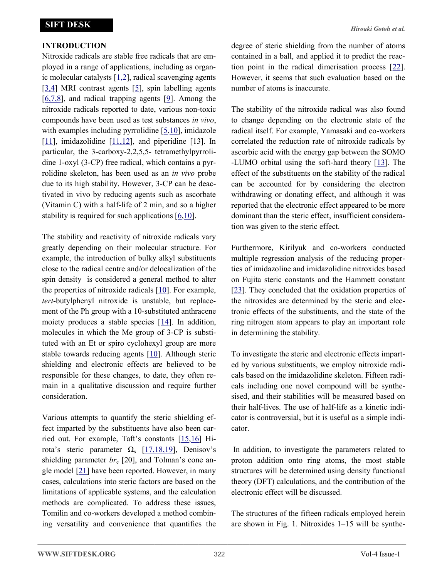## **INTRODUCTION**

Nitroxide radicals are stable free radicals that are employed in a range of applications, including as organic molecular catalysts  $[1,2]$  $[1,2]$ , radical scavenging agents  $[3,4]$  MRI contrast agents  $[5]$  $[5]$ , spin labelling agents  $[6,7,8]$ , and radical trapping agents  $[9]$  $[9]$ . Among the nitroxide radicals reported to date, various non-toxic compounds have been used as test substances *in vivo*, with examples including pyrrolidine [\[5,10\]](#page-5-0), imidazole [\[11\]](#page-5-0), imidazolidine [\[11,12\],](#page-5-0) and piperidine [13]. In particular, the 3-carboxy-2,2,5,5- tetramethylpyrrolidine 1-oxyl (3-CP) free radical, which contains a pyrrolidine skeleton, has been used as an *in vivo* probe due to its high stability. However, 3-CP can be deactivated in vivo by reducing agents such as ascorbate (Vitamin C) with a half-life of 2 min, and so a higher stability is required for such applications [[6,10\]](#page-5-0).

The stability and reactivity of nitroxide radicals vary greatly depending on their molecular structure. For example, the introduction of bulky alkyl substituents close to the radical centre and/or delocalization of the spin density is considered a general method to alter the properties of nitroxide radicals [\[10\].](#page-5-0) For example, *tert*-butylphenyl nitroxide is unstable, but replacement of the Ph group with a 10-substituted anthracene moiety produces a stable species [\[14\].](#page-5-0) In addition, molecules in which the Me group of 3-CP is substituted with an Et or spiro cyclohexyl group are more stable towards reducing agents [[10\].](#page-5-0) Although steric shielding and electronic effects are believed to be responsible for these changes, to date, they often remain in a qualitative discussion and require further consideration.

Various attempts to quantify the steric shielding effect imparted by the substituents have also been carried out. For example, Taft's constants [[15,16\]](#page-5-0) Hirota's steric parameter  $\Omega_s$  [\[17,18,19\]](#page-5-0), Denisov's shielding parameter *br*<sub>e</sub> [20], and Tolman's cone angle model [[21\]](#page-6-0) have been reported. However, in many cases, calculations into steric factors are based on the limitations of applicable systems, and the calculation methods are complicated. To address these issues, Tomilin and co-workers developed a method combining versatility and convenience that quantifies the degree of steric shielding from the number of atoms contained in a ball, and applied it to predict the reaction point in the radical dimerisation process [[22\].](#page-6-0) However, it seems that such evaluation based on the number of atoms is inaccurate.

The stability of the nitroxide radical was also found to change depending on the electronic state of the radical itself. For example, Yamasaki and co-workers correlated the reduction rate of nitroxide radicals by ascorbic acid with the energy gap between the SOMO -LUMO orbital using the soft-hard theory [\[13\]](#page-5-0). The effect of the substituents on the stability of the radical can be accounted for by considering the electron withdrawing or donating effect, and although it was reported that the electronic effect appeared to be more dominant than the steric effect, insufficient consideration was given to the steric effect.

Furthermore, Kirilyuk and co-workers conducted multiple regression analysis of the reducing properties of imidazoline and imidazolidine nitroxides based on Fujita steric constants and the Hammett constant [[23\]](#page-6-0). They concluded that the oxidation properties of the nitroxides are determined by the steric and electronic effects of the substituents, and the state of the ring nitrogen atom appears to play an important role in determining the stability.

To investigate the steric and electronic effects imparted by various substituents, we employ nitroxide radicals based on the imidazolidine skeleton. Fifteen radicals including one novel compound will be synthesised, and their stabilities will be measured based on their half-lives. The use of half-life as a kinetic indicator is controversial, but it is useful as a simple indicator.

In addition, to investigate the parameters related to proton addition onto ring atoms, the most stable structures will be determined using density functional theory (DFT) calculations, and the contribution of the electronic effect will be discussed.

The structures of the fifteen radicals employed herein are shown in Fig. 1. Nitroxides 1–15 will be synthe-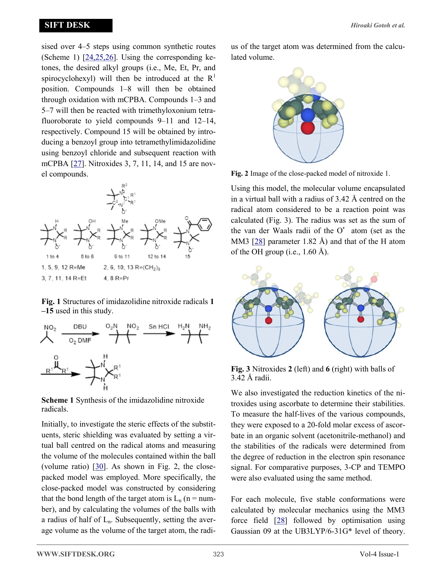## <span id="page-2-0"></span>**SIFT DESK**

sised over 4–5 steps using common synthetic routes (Scheme 1) [[24,25,26\]](#page-6-0). Using the corresponding ketones, the desired alkyl groups (i.e., Me, Et, Pr, and spirocyclohexyl) will then be introduced at the  $R<sup>1</sup>$ position. Compounds 1–8 will then be obtained through oxidation with mCPBA. Compounds 1–3 and 5–7 will then be reacted with trimethyloxonium tetrafluoroborate to yield compounds 9–11 and 12–14, respectively. Compound 15 will be obtained by introducing a benzoyl group into tetramethylimidazolidine using benzoyl chloride and subsequent reaction with mCPBA [[27\].](#page-6-0) Nitroxides 3, 7, 11, 14, and 15 are novel compounds.



**Fig. 1** Structures of imidazolidine nitroxide radicals **1 –15** used in this study.



**Scheme 1** Synthesis of the imidazolidine nitroxide radicals.

Initially, to investigate the steric effects of the substituents, steric shielding was evaluated by setting a virtual ball centred on the radical atoms and measuring the volume of the molecules contained within the ball (volume ratio)  $[30]$  $[30]$ . As shown in Fig. 2, the closepacked model was employed. More specifically, the close-packed model was constructed by considering that the bond length of the target atom is  $L_n$  (n = number), and by calculating the volumes of the balls with a radius of half of  $L_n$ . Subsequently, setting the average volume as the volume of the target atom, the radius of the target atom was determined from the calculated volume.



**Fig. 2** Image of the close-packed model of nitroxide 1.

Using this model, the molecular volume encapsulated in a virtual ball with a radius of 3.42 Å centred on the radical atom considered to be a reaction point was calculated (Fig. 3). The radius was set as the sum of the van der Waals radii of the O' atom (set as the MM3 [[28\]](#page-6-0) parameter 1.82 Å) and that of the H atom of the OH group (i.e.,  $1.60 \text{ Å}$ ).



**Fig. 3** Nitroxides **2** (left) and **6** (right) with balls of 3.42 Å radii.

We also investigated the reduction kinetics of the nitroxides using ascorbate to determine their stabilities. To measure the half-lives of the various compounds, they were exposed to a 20-fold molar excess of ascorbate in an organic solvent (acetonitrile-methanol) and the stabilities of the radicals were determined from the degree of reduction in the electron spin resonance signal. For comparative purposes, 3-CP and TEMPO were also evaluated using the same method.

For each molecule, five stable conformations were calculated by molecular mechanics using the MM3 force field  $[28]$  followed by optimisation using Gaussian 09 at the UB3LYP/6-31G\* level of theory.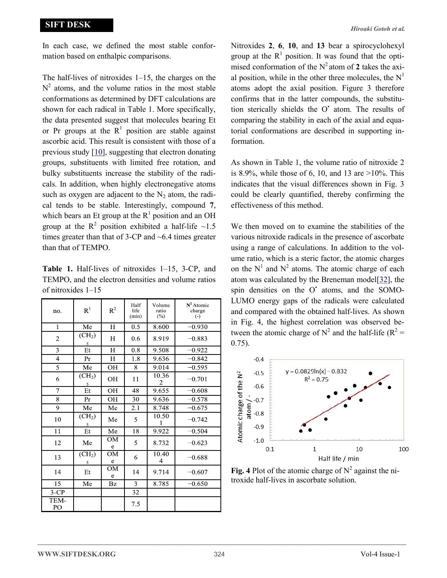In each case, we defined the most stable conformation based on enthalpic comparisons.

The half-lives of nitroxides 1–15, the charges on the  $N^2$  atoms, and the volume ratios in the most stable conformations as determined by DFT calculations are shown for each radical in Table 1. More specifically, the data presented suggest that molecules bearing Et or Pr groups at the  $R<sup>1</sup>$  position are stable against ascorbic acid. This result is consistent with those of a previous study [\[10\]](#page-5-0), suggesting that electron donating groups, substituents with limited free rotation, and bulky substituents increase the stability of the radicals. In addition, when highly electronegative atoms such as oxygen are adjacent to the  $N<sub>2</sub>$  atom, the radical tends to be stable. Interestingly, compound **7**, which bears an Et group at the  $R<sup>1</sup>$  position and an OH group at the R<sup>2</sup> position exhibited a half-life  $\sim$ 1.5 times greater than that of 3-CP and ~6.4 times greater than that of TEMPO.

**Table 1.** Half-lives of nitroxides 1–15, 3-CP, and TEMPO, and the electron densities and volume ratios of nitroxides 1–15

| no.            | $R^1$                   | $\mathbb{R}^2$ | Half<br>life<br>(min) | Volume<br>ratio<br>(%) | $N^2$ Atomic<br>charge<br>$\left( \cdot \right)$ |
|----------------|-------------------------|----------------|-----------------------|------------------------|--------------------------------------------------|
| $\mathbf{1}$   | Me                      | H              | 0.5                   | 8.600                  | $-0.930$                                         |
| $\overline{c}$ | (CH <sub>2</sub> )<br>5 | H              | 0.6                   | 8.919                  | $-0.883$                                         |
| 3              | Et                      | H              | 0.8                   | 9.508                  | $-0.922$                                         |
| $\overline{4}$ | Pr                      | $H_{\rm}$      | 1.8                   | 9.636                  | $-0.842$                                         |
| 5              | Me                      | OН             | 8                     | 9.014                  | $-0.595$                                         |
| 6              | (CH <sub>2</sub> )<br>5 | OH             | 11                    | 10.36<br>2             | $-0.701$                                         |
| $\overline{7}$ | Et                      | OH             | 48                    | 9.655                  | $-0.608$                                         |
| 8              | Pr                      | OН             | 30                    | 9.636                  | $-0.578$                                         |
| 9              | Me                      | Me             | 2.1                   | 8.748                  | $-0.675$                                         |
| 10             | (CH <sub>2</sub> )<br>5 | Me             | 5                     | 10.50<br>1             | $-0.742$                                         |
| 11             | Et                      | Me             | 18                    | 9.922                  | $-0.504$                                         |
| 12             | Me                      | OM<br>e        | 5                     | 8.732                  | $-0.623$                                         |
| 13             | (CH <sub>2</sub> )<br>5 | OM<br>e        | 6                     | 10.40<br>4             | $-0.688$                                         |
| 14             | Et                      | OM<br>e        | 14                    | 9.714                  | $-0.607$                                         |
| 15             | Me                      | Bz             | 3                     | 8.785                  | $-0.650$                                         |
| $3$ -CP        |                         |                | 32                    |                        |                                                  |
| TEM-<br>PO     |                         |                | 7.5                   |                        |                                                  |

Nitroxides **2**, **6**, **10**, and **13** bear a spirocyclohexyl group at the  $R<sup>1</sup>$  position. It was found that the optimised conformation of the  $N^2$  atom of 2 takes the axial position, while in the other three molecules, the  $N<sup>1</sup>$ atoms adopt the axial position. Figure 3 therefore confirms that in the latter compounds, the substitution sterically shields the O' atom. The results of comparing the stability in each of the axial and equatorial conformations are described in supporting information.

As shown in Table 1, the volume ratio of nitroxide 2 is 8.9%, while those of 6, 10, and 13 are  $>10\%$ . This indicates that the visual differences shown in Fig. 3 could be clearly quantified, thereby confirming the effectiveness of this method.

We then moved on to examine the stabilities of the various nitroxide radicals in the presence of ascorbate using a range of calculations. In addition to the volume ratio, which is a steric factor, the atomic charges on the  $N^1$  and  $N^2$  atoms. The atomic charge of each atom was calculated by the Breneman model[[32\],](#page-6-0) the spin densities on the O' atoms, and the SOMO-LUMO energy gaps of the radicals were calculated and compared with the obtained half-lives. As shown in Fig. 4, the highest correlation was observed between the atomic charge of  $N^2$  and the half-life ( $R^2 =$ 0.75).



Fig. 4 Plot of the atomic charge of  $N^2$  against the nitroxide half-lives in ascorbate solution.

**——————————————————————————————————————————————————–**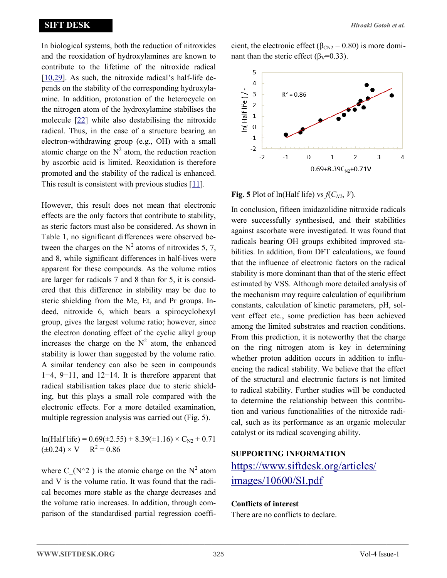In biological systems, both the reduction of nitroxides and the reoxidation of hydroxylamines are known to contribute to the lifetime of the nitroxide radical [[10,](#page-5-0)[29\]](#page-6-0). As such, the nitroxide radical's half-life depends on the stability of the corresponding hydroxylamine. In addition, protonation of the heterocycle on the nitrogen atom of the hydroxylamine stabilises the molecule [[22\]](#page-6-0) while also destabilising the nitroxide radical. Thus, in the case of a structure bearing an electron-withdrawing group (e.g., OH) with a small atomic charge on the  $N^2$  atom, the reduction reaction by ascorbic acid is limited. Reoxidation is therefore promoted and the stability of the radical is enhanced. This result is consistent with previous studies  $[11]$ .

However, this result does not mean that electronic effects are the only factors that contribute to stability, as steric factors must also be considered. As shown in Table 1, no significant differences were observed between the charges on the  $N^2$  atoms of nitroxides 5, 7, and 8, while significant differences in half-lives were apparent for these compounds. As the volume ratios are larger for radicals 7 and 8 than for 5, it is considered that this difference in stability may be due to steric shielding from the Me, Et, and Pr groups. Indeed, nitroxide 6, which bears a spirocyclohexyl group, gives the largest volume ratio; however, since the electron donating effect of the cyclic alkyl group increases the charge on the  $N^2$  atom, the enhanced stability is lower than suggested by the volume ratio. A similar tendency can also be seen in compounds 1−4, 9−11, and 12−14. It is therefore apparent that radical stabilisation takes place due to steric shielding, but this plays a small role compared with the electronic effects. For a more detailed examination, multiple regression analysis was carried out (Fig. 5).

 $ln(Half life) = 0.69(\pm 2.55) + 8.39(\pm 1.16) \times C_{N2} + 0.71$  $(\pm 0.24) \times V$  $R^2 = 0.86$ 

where C (N^2) is the atomic charge on the N<sup>2</sup> atom and V is the volume ratio. It was found that the radical becomes more stable as the charge decreases and the volume ratio increases. In addition, through comparison of the standardised partial regression coefficient, the electronic effect ( $\beta_{CN2}$  = 0.80) is more dominant than the steric effect ( $\beta$ <sub>V</sub>=0.33).



**Fig. 5** Plot of ln(Half life) vs  $f(C_{N2}, V)$ .

In conclusion, fifteen imidazolidine nitroxide radicals were successfully synthesised, and their stabilities against ascorbate were investigated. It was found that radicals bearing OH groups exhibited improved stabilities. In addition, from DFT calculations, we found that the influence of electronic factors on the radical stability is more dominant than that of the steric effect estimated by VSS. Although more detailed analysis of the mechanism may require calculation of equilibrium constants, calculation of kinetic parameters, pH, solvent effect etc., some prediction has been achieved among the limited substrates and reaction conditions. From this prediction, it is noteworthy that the charge on the ring nitrogen atom is key in determining whether proton addition occurs in addition to influencing the radical stability. We believe that the effect of the structural and electronic factors is not limited to radical stability. Further studies will be conducted to determine the relationship between this contribution and various functionalities of the nitroxide radical, such as its performance as an organic molecular catalyst or its radical scavenging ability.

## **SUPPORTING INFORMATION**

[https://www.siftdesk.org/articles/](https://www.siftdesk.org/articles/images/10600/SI.pdf) [images/10600/SI.pdf](https://www.siftdesk.org/articles/images/10600/SI.pdf)

## **Conflicts of interest**

There are no conflicts to declare.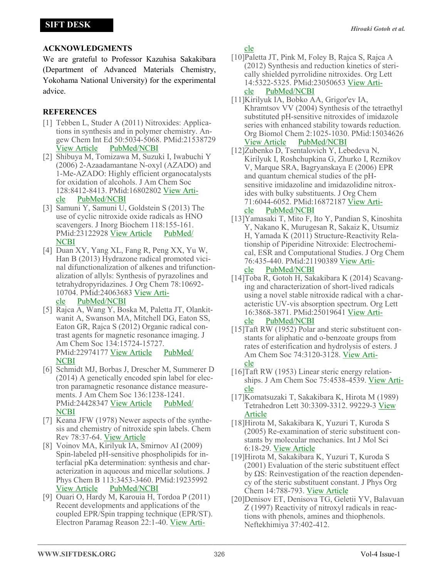# <span id="page-5-0"></span>**ACKNOWLEDGMENTS**

We are grateful to Professor Kazuhisa Sakakibara (Department of Advanced Materials Chemistry, Yokohama National University) for the experimental advice.

# **REFERENCES**

- [1] Tebben L, Studer A (2011) Nitroxides: Applications in synthesis and in polymer chemistry. Angew Chem Int Ed 50:5034-5068. PMid:21538729 [View Article](https://doi.org/10.1002/anie.201002547) [PubMed/NCBI](https://www.ncbi.nlm.nih.gov/pubmed/21538729)
- [2] Shibuya M, Tomizawa M, Suzuki I, Iwabuchi Y (2006) 2-Azaadamantane N-oxyl (AZADO) and 1-Me-AZADO: Highly efficient organocatalysts for oxidation of alcohols. J Am Chem Soc 128:8412-8413. PMid:16802802 [View Arti](https://doi.org/10.1021/ja0620336)[cle](https://doi.org/10.1021/ja0620336) [PubMed/NCBI](https://www.ncbi.nlm.nih.gov/pubmed/16802802)
- [3] Samuni Y, Samuni U, Goldstein S (2013) The use of cyclic nitroxide oxide radicals as HNO scavengers. J Inorg Biochem 118:155-161. PMid:23122928 [View Article](https://doi.org/10.1016/j.jinorgbio.2012.10.002) [PubMed/](https://www.ncbi.nlm.nih.gov/pubmed/23122928) **[NCBI](https://www.ncbi.nlm.nih.gov/pubmed/23122928)**
- [4] Duan XY, Yang XL, Fang R, Peng XX, Yu W, Han B (2013) Hydrazone radical promoted vicinal difunctionalization of alkenes and trifunctionalization of allyls: Synthesis of pyrazolines and tetrahydropyridazines. J Org Chem 78:10692- 10704. PMid:24063683 [View Arti](https://doi.org/10.1021/jo4016908)[cle](https://doi.org/10.1021/jo4016908) [PubMed/NCBI](https://www.ncbi.nlm.nih.gov/pubmed/24063683)
- [5] Rajca A, Wang Y, Boska M, Paletta JT, Olankitwanit A, Swanson MA, Mitchell DG, Eaton SS, Eaton GR, Rajca S (2012) Organic radical contrast agents for magnetic resonance imaging. J Am Chem Soc 134:15724-15727. PMid:22974177 [View Article](https://doi.org/10.1021/ja3079829) [PubMed/](https://www.ncbi.nlm.nih.gov/pubmed/22974177) **[NCBI](https://www.ncbi.nlm.nih.gov/pubmed/22974177)**
- [6] Schmidt MJ, Borbas J, Drescher M, Summerer D (2014) A genetically encoded spin label for electron paramagnetic resonance distance measurements. J Am Chem Soc 136:1238-1241. PMid:24428347 [View Article](https://doi.org/10.1021/ja411535q) [PubMed/](https://www.ncbi.nlm.nih.gov/pubmed/24428347) [NCBI](https://www.ncbi.nlm.nih.gov/pubmed/24428347)
- [7] Keana JFW (1978) Newer aspects of the synthesis and chemistry of nitroxide spin labels. Chem Rev 78:37-64. [View Article](https://doi.org/10.1021/cr60311a004)
- [8] Voinov MA, Kirilyuk IA, Smirnov AI (2009) Spin-labeled pH-sensitive phospholipids for interfacial pKa determination: synthesis and characterization in aqueous and micellar solutions. J Phys Chem B 113:3453-3460. PMid:19235992 [View Article](https://doi.org/10.1021/jp810993s) [PubMed/NCBI](https://www.ncbi.nlm.nih.gov/pubmed/19235992)
- [9] Ouari O, Hardy M, Karouia H, Tordoa P (2011) Recent developments and applications of the coupled EPR/Spin trapping technique (EPR/ST). Electron Paramag Reason 22:1-40. [View Arti-](https://doi.org/10.1039/9781849730877-00001)

#### [cle](https://doi.org/10.1039/9781849730877-00001)

- [10]Paletta JT, Pink M, Foley B, Rajca S, Rajca A (2012) Synthesis and reduction kinetics of sterically shielded pyrrolidine nitroxides. Org Lett 14:5322-5325. PMid:23050653 [View Arti](https://doi.org/10.1021/ol302506f)[cle](https://doi.org/10.1021/ol302506f) [PubMed/NCBI](https://www.ncbi.nlm.nih.gov/pubmed/23050653)
- [11]Kirilyuk IA, Bobko AA, Grigor'ev IA, Khramtsov VV (2004) Synthesis of the tetraethyl substituted pH-sensitive nitroxides of imidazole series with enhanced stability towards reduction. Org Biomol Chem 2:1025-1030. PMid:15034626 [View Article](https://doi.org/10.1039/b400252k) [PubMed/NCBI](https://www.ncbi.nlm.nih.gov/pubmed/15034626)
- [12]Zubenko D, Tsentalovich Y, Lebedeva N, Kirilyuk I, Roshchupkina G, Zhurko I, Reznikov V, Marque SRA, Bagryanskaya E (2006) EPR and quantum chemical studies of the pHsensitive imidazoline and imidazolidine nitroxides with bulky substituents. J Org Chem 71:6044-6052. PMid:16872187 [View Arti-](https://doi.org/10.1021/jo060787x)

## [cle](https://doi.org/10.1021/jo060787x) [PubMed/NCBI](https://www.ncbi.nlm.nih.gov/pubmed/16872187)

[13]Yamasaki T, Mito F, Ito Y, Pandian S, Kinoshita Y, Nakano K, Murugesan R, Sakaiz K, Utsumiz H, Yamada K (2011) Structure-Reactivity Relationship of Piperidine Nitroxide: Electrochemical, ESR and Computational Studies. J Org Chem 76:435-440. PMid:21190389 [View Arti-](https://doi.org/10.1021/jo101961m)

#### [cle](https://doi.org/10.1021/jo101961m) [PubMed/NCBI](https://www.ncbi.nlm.nih.gov/pubmed/21190389)

[14]Toba R, Gotoh H, Sakakibara K (2014) Scavanging and characterization of short-lived radicals using a novel stable nitroxide radical with a characteristic UV-vis absorption spectrum. Org Lett 16:3868-3871. PMid:25019641 [View Arti-](https://doi.org/10.1021/ol501328k)

## [cle](https://doi.org/10.1021/ol501328k) [PubMed/NCBI](https://www.ncbi.nlm.nih.gov/pubmed/25019641)

- [15]Taft RW (1952) Polar and steric substituent constants for aliphatic and o-benzoate groups from rates of esterification and hydrolysis of esters. J Am Chem Soc 74:3120-3128. [View Arti](https://doi.org/10.1021/ja01132a049)[cle](https://doi.org/10.1021/ja01132a049)
- [16]Taft RW (1953) Linear steric energy relationships. J Am Chem Soc 75:4538-4539. [View Arti](https://doi.org/10.1021/ja01114a044)[cle](https://doi.org/10.1021/ja01114a044)
- [17]Komatsuzaki T, Sakakibara K, Hirota M (1989) Tetrahedron Lett 30:3309-3312. 99229-3 [View](https://doi.org/10.1016/S0040-4039(00))  [Article](https://doi.org/10.1016/S0040-4039(00))
- [18]Hirota M, Sakakibara K, Yuzuri T, Kuroda S (2005) Re-examination of steric substituent constants by molecular mechanics. Int J Mol Sci 6:18-29. [View Article](https://doi.org/10.3390/i6010018)
- [19]Hirota M, Sakakibara K, Yuzuri T, Kuroda S (2001) Evaluation of the steric substituent effect by ΩS: Reinvestigation of the reaction dependency of the steric substituent constant. J Phys Org Chem 14:788-793. [View Article](https://doi.org/10.1002/poc.431)
- [20]Denisov ET, Denisova TG, Geletii YV, Balavuan Z (1997) Reactivity of nitroxyl radicals in reactions with phenols, amines and thiophenols. Neftekhimiya 37:402-412.